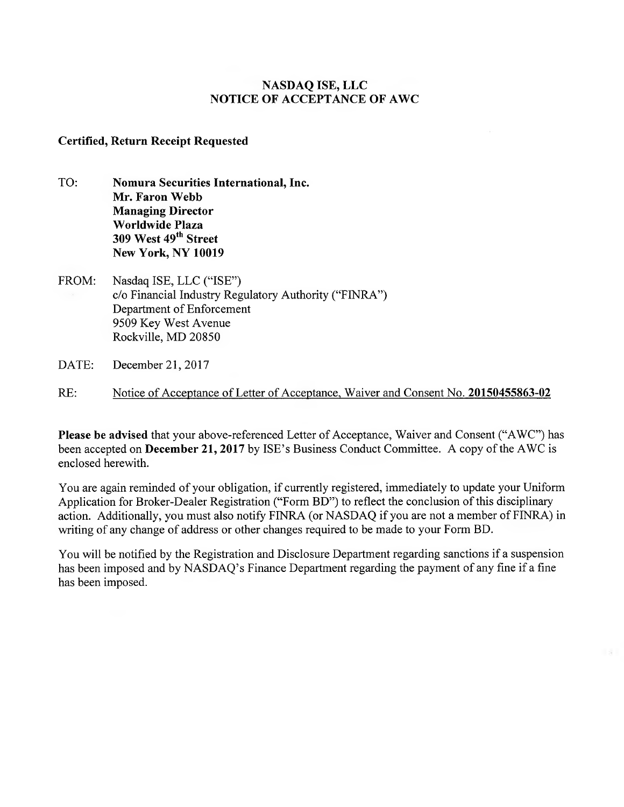# **NASDAQ ISE, LLC NOTICE OF ACCEPTANCE OF AWC**

# **Certified, Return Receipt Requested**

- TO: **Nomura Securities International, Inc. Mr. Faron Webb Managing Director Worldwide Plaza 309 West 49th Street New York, NY 10019**
- FROM: Nasdaq ISE, LLC ("ISE") c/o Financial Industry Regulatory Authority ("FINRA") Department of Enforcement 9509 Key West Avenue Rockville, MD 20850
- DATE: December 21, 2017
- RE: Notice of Acceptance of Letter of Acceptance, Waiver and Consent No. **20150455863-02**

**Please be advised** that your above-referenced Letter of Acceptance, Waiver and Consent ("AWC") has been accepted on **December 21, 2017** by ISE's Business Conduct Committee. A copy of the AWC is enclosed herewith.

You are again reminded of your obligation, if currently registered, immediately to update your Uniform Application for Broker-Dealer Registration ("Form BD") to reflect the conclusion of this disciplinary action. Additionally, you must also notify FINRA (or NASDAQ if you are not a member of FINRA) in writing of any change of address or other changes required to be made to your Form BD.

You will be notified by the Registration and Disclosure Department regarding sanctions if a suspension has been imposed and by NASDAQ's Finance Department regarding the payment of any fine if a fine has been imposed.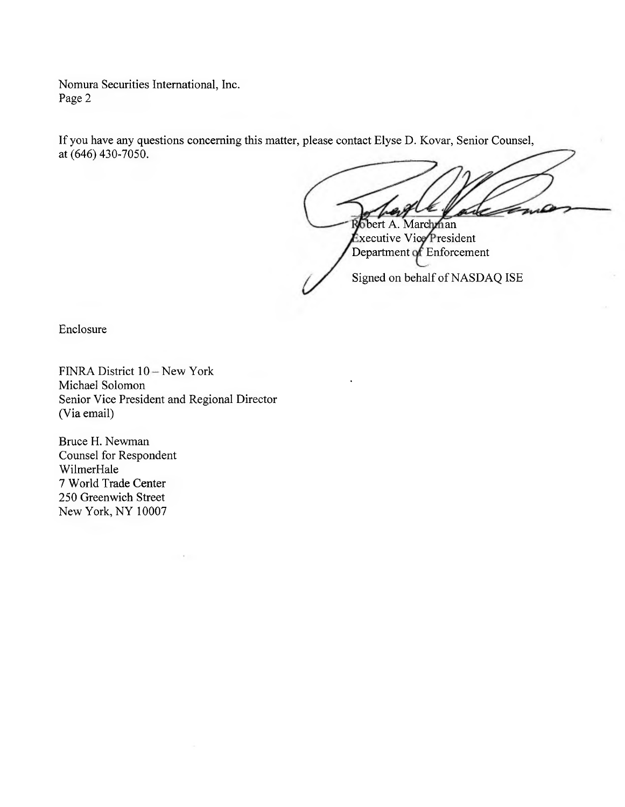Nomura Securities International, Inc. Page 2

If you have any questions concerning this matter, please contact Elyse D. Kovar, Senior Counsel, at (646) 430-7050.

bert A. Marchman  $\epsilon$ xecutive Vice $\epsilon$ President Department of Enforcement

Signed on behalf of NASDAQ ISE

Enclosure

FINRA District 10 — New York Michael Solomon Senior Vice President and Regional Director (Via email)

Bruce H. Newman Counsel for Respondent WilmerHale 7 World Trade Center 250 Greenwich Street New York, NY 10007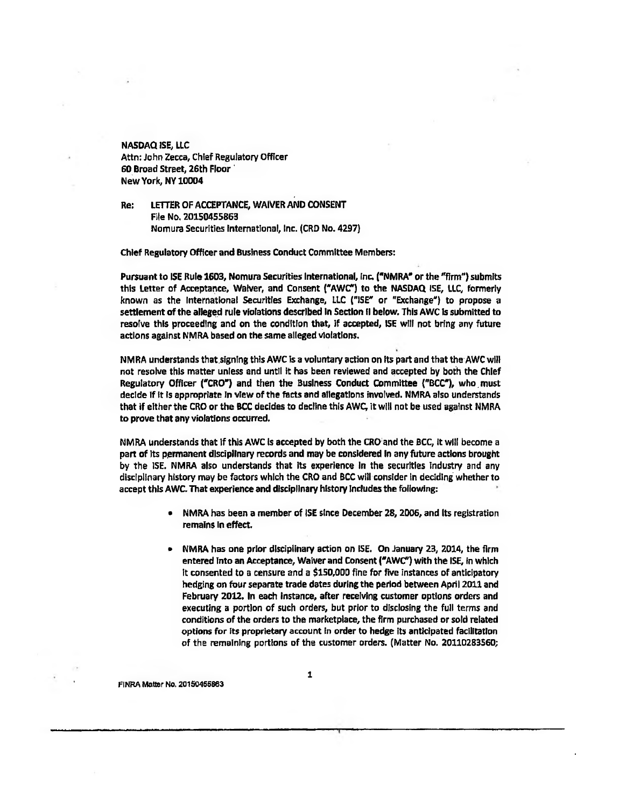**NASDAQ ISE, LLC Attn: John Zecca, Chief Regulatory Officer 60 Broad Street, 26th Floor ' New York, NY 10004** 

**Re: LETTER OF ACCEPTANCE, WAIVER AND CONSENT File No. 20150455863 Nomura Securities International, Inc. (CRD No. 4297)** 

**Chief Regulatory Officer and Business Conduct Cornmittee Members:** 

**Pursuant to ISE Ruie 1603, Nomura Securities international, inc. ("NMRAP or the "firm") submits this Letter of Acceptance, Waiver, and Consent ("AWC") to the NASDAQ ISE, LLC, formerly**  known as the International Securities Exchange, LLC ("ISE" or "Exchange") to propose a **settlement of the alleged rule violations described in Section II below. This AWC is submitted to resofve this proceeding and on the condition that, if accepted, ISE will not bring any future actions against NNIRA based on the same alleged violations.** 

**NMRA understands that.signing this AWC is a voluntary action on its part and that the AWC will not resolve this matter unless end until it has been reviewed and accepted by both the Chief**  Regulatory Officer ("CRO") and then the Business Conduct Committee ("BCC"), who must **decide if it is appropriate In view of the facts end allegations involved. NMRA also understands**  that if either the CRO or the BCC decides to decline this AWC, it will not be used against NMRA **to prove that any violations occurred.** 

NMRA understands that if this AWC is accepted by both the CRO and the BCC, it will become a **part of its permanent disciplinary records and may be considered in any future actions brought by the ISE. NOMA also understands that its experience in the securities Industry and any disciplinary history may be factors which the CRO and BCC will consider in deciding whether to accept this AWC. That experience and disciplinary history includes the following:** 

- **NMRA has been a member of ISE since December 28, 2006, and Its registration remains in effect.**
- **NMRA has one prior disciplinary action on ISE. On January 23, 2014, the firm entered into an Acceptance, Waiver and Consent ("MC') with the ISE, in which it consented to a censure and a \$150,000 fine for five instances of anticipatory hedging on four separate trade dates during the period between April 2011 and February 2012. In each instance, after receiving customer options orders and executing a portion of such orders, but prior to disclosing the full terrns and conditions of the orders to the marketplace, the firm purchased or sold related options for its proprietary account In order to hedge its anticipated facilitation of the remaining portions of the customer orders. (Matter No. 20110283560;**

**FINRA Metter NO. 20150465863**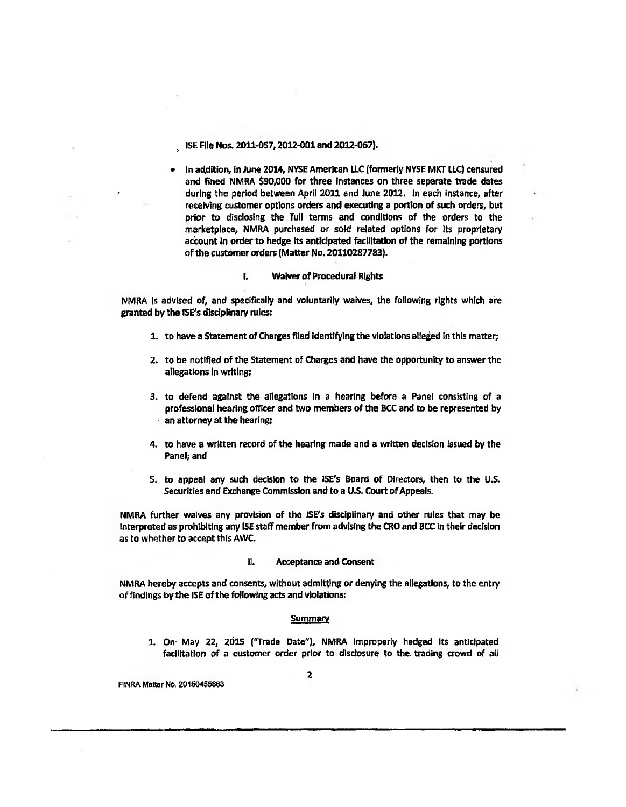**ISE File Nos. 2011-057, 2012-001 and 2012-067).** 

**• In addition, in June 2014, NYSE American LLC (formerly NYSE MKT LLC) censured and fined NMRA \$90,000 for three instances on three separate trade dates during the period between April 2011 and June 2012. In each instance, after**  receiving customer options orders and executing a portion of such orders, but **prior to disclosing the full terms and conditions of the orders to the marketplace, NMRA purchased or sold related options for Its proprietary aciount in order to hedge its anticipated facilitation of the remaining portions of the customer orders (Matter No. 20110287783).** 

## **I. Waiver of Procedural Rights**

**NMRA is advised of, and specifically and voluntarily waives, the following rights which are granted by the ISE's disciplinary rules:** 

- **1. to have a Statement of Charges filed identifying the violations alleged In this matter;**
- **2. to be notified of the Statement of Charges and have the opportunity to answer the allegations In writing;**
- **3. to defend against the allegations In a hearing before a Panel consisting of a professional hearing officer and two members of the BCC and to be represented by an attorney at the hearing;**
- **4. to have a written record of the hearing made and a written decision issued by the Panel; and**
- **5, to appeal any such decision to the ISE's Board of Directors, then to the U.S. Securities and Exchange Commission and to a U.S. Court of Appeals.**

**NMRA further waives any provision of the ISE's disciplinary and other rules that may be interpreted as prohibiting any ISE staff member from advising the CRO and BCC in their decision as to whether to accept this AWC.** 

## **11. Acceptance and Consent**

**NMRA hereby accepts and consents, without admitting or denying the allegations, to** *the* **entry of findings by the ISE of the following acts and violations:** 

#### **Summary**

1. On May 22, 2015 ("Trade Date"), NMRA improperly hedged its anticipated **facilitation of a customer order prior to disclosure to the. trading crowd of all** 

**FINRA Matter No, 20150455803**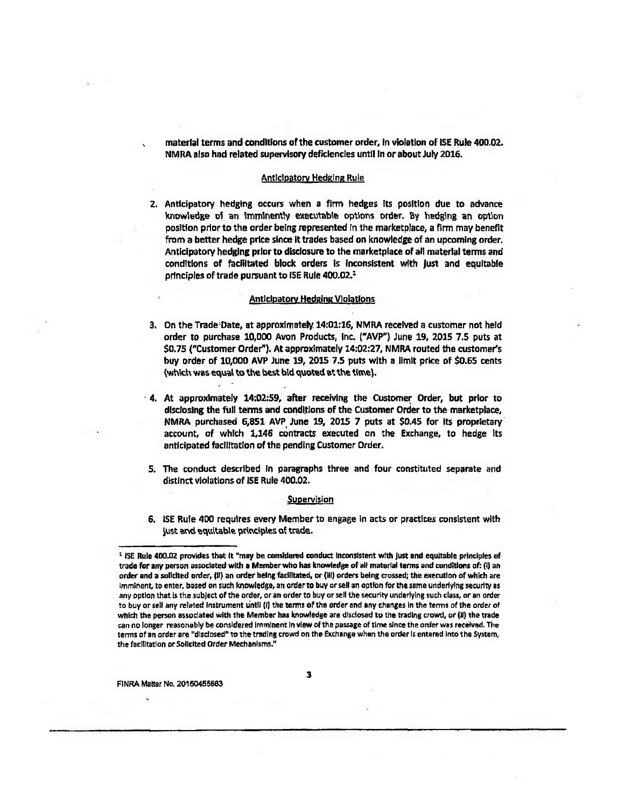**material terms and conditions of the customer order, in violation of ISE Rule 400.02. NMRA also had related supervisory deficiencies until in or about July 2016.** 

#### **Anticipatory Hedeine Rule**

**2. Anticipatory hedging occurs when a firm hedges its position due to advance knowledge oi an Imminently executable options order. By hedging an option position prior to the order being represented in the marketplace, a firm may benefit from a better hedge price since it trades based on knowledge of an upcoming order. Anticipatory hedging prior to disclosure to the marketplace of all material terrns and conditions of facilitated block orders Is inconsistent with just and equitable principles of trade pursuant to ISE Rule 400.02.1** 

#### **Anticipatory Hedeine Violations**

- **3.** On the Trade Date, at approximately 14:01:16, NMRA received a customer not held order to purchase 10,000 Avon Products, Inc. ("AVP") June 19, 2015 7.5 puts at **\$0.75 (^Customer Order). At approximately 14:02:27, NMRA routed the customer's buy order of 10,000 AVP June 19, 2015 7.5 puts with a limit price of \$0.65 cents (whlich was equal to the best hid quoted at the tirnel.**
- **4. At approximately 14:02:59, after receiving the Customer Order, but prior to disclosing the full terms and conditions of the Customer Order to the marketplace, NMRA purchased 6,851 AVP June 19, 2015 7 puts at \$0.45 for its proprietary account, of which 1,146 contracts executed on the Exchange, to hedge its ant(cipated facilitation of the pending Customer Order.**
- **5. The conduct described In paragraphs three and four constituted separate and distinct violations of ISE Rule 400.02.**

## **Supervision**

**6. ISE Rule 400 requires every Member to engage in acts or practices consistent with**  just and equitable principles of trade.

**FINRA Mahar No. 20160465883** 

**3** 

<sup>&</sup>lt;sup>2</sup> ISE Rule 400.02 provides that it "may be considered conduct Inconsistent with just and equitable principles of trade for any person associated with a Member who has knowledge of all material terms and conditions of: (i) an **order and a solicited order, Ill) an order being facilitated, or (110 orders being crossed; the execution of which are Imminent, to enter, based on such knowledge, an order to buy or sell an option for the** *same* **underlying security as any option that Is the subject of the order, or an order to buy or sell the security underlying such class, or an order to buy or sell any related Instrument Until (I) the terms of the order and any changes In the terms of the order of**  which the person associated with the Member has knowledge are disclosed to the trading crowd, or (ii) the trade **can no longer reasonably be considered Imminent In view of the passage of time since the order was received. The terms of an order are "disclosed" to the trading crowd on the Exchange when the order Is entered into the System, the facilitation orSollcited Order Mechanisms."**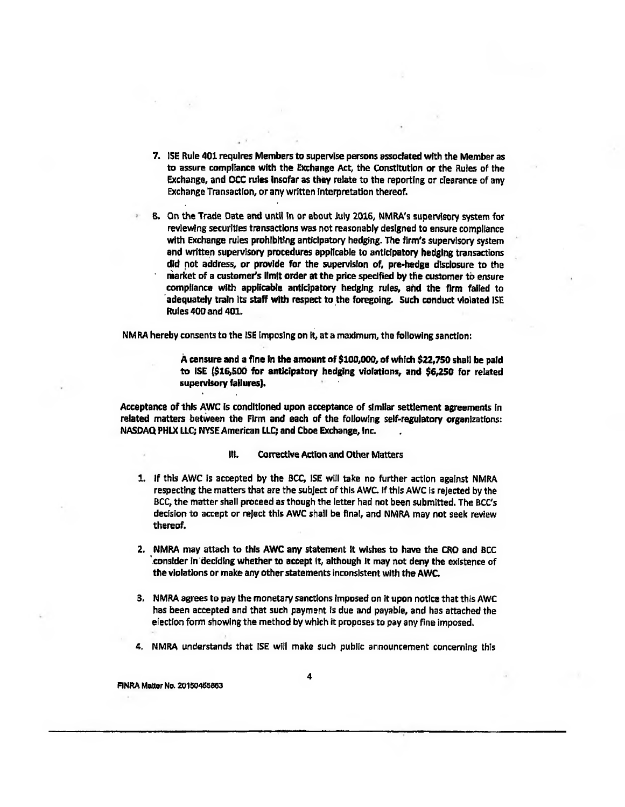- **7. ISE Rule 401 requires Members to supervise persons associated with the Member as to assure compliance with the Exchange Act, the Constitution or the Rules of the Exchange, and OCC rules Insofar as they relate to the reporting or clearance of any Exchange Transaction, or any written interpretation thereof.**
- **B. On the Trade Date and until in or about July 2016, NMRA's supervisory systern for reviewing securities transactions was not reasonably designed to ensure compliance with Exchange rules prohibiting anticipatory hedging. The firm's supervisory system and written supervisory procedures applicable to anticipatory hedging transactions did not address, or provide for the supervision of, pre-hedge disclosure to the**  market of a customer's limit order at the price specified by the customer to ensure **compliance with applicable anticipatory hedging rules, and the firm failed to 'adequately train its staff with respect to the foregoing. Such conduct violated ISE Rules 400 and 401.**

**NM RA hereby consents to the ISE imposing on it, at a maximum, the following sanction:** 

**A censure and a fine In the amount of \$100,000, of which 622,750 shall be paid to ISE (616,500 for anticipatory hedging violations, and \$6,250 for related supervisory failures).** 

**Acceptance of thls AWC is conditioned upon acceptance of similar settlement agreements in**  related matters between the Firm and each of the following self-regulatory organizations: **NASDAQ PHLX LLC; NYSE American LLC; and Cboe Exchange, Inc.** 

- **RI. CorredIve Action and Other Matters**
- **1. If this AWC is accepted by the BCC, ISE will take no further action against NMRA respecting the matters that are the subject of this AWC. If thls AWC is rejected by the BCC, the matter shall proceed as though the letter had not been submitted. The BCCs decision to accept or reject this AWC shall be final, and NMRA may not seek review thereof.**
- **2. NMRA may attach to this AWC any statement it wishes to have the CRO and BCc 'consider in deciding whether to accept it, although it may not deny the existence of the violations or make any other statements inconsistent with the AWC.**
- **3, NMRA agrees to pay the monetary sanctions Imposed on tt upon notice that this AWC has been accepted and that such payment is due and payable, and has attached the election form showing the method by which it proposes to pay any fine imposed.**
- **4, NMRA understands that ISE will make such public announcement conceming this**

**F1NRA Matter No. 20150465883**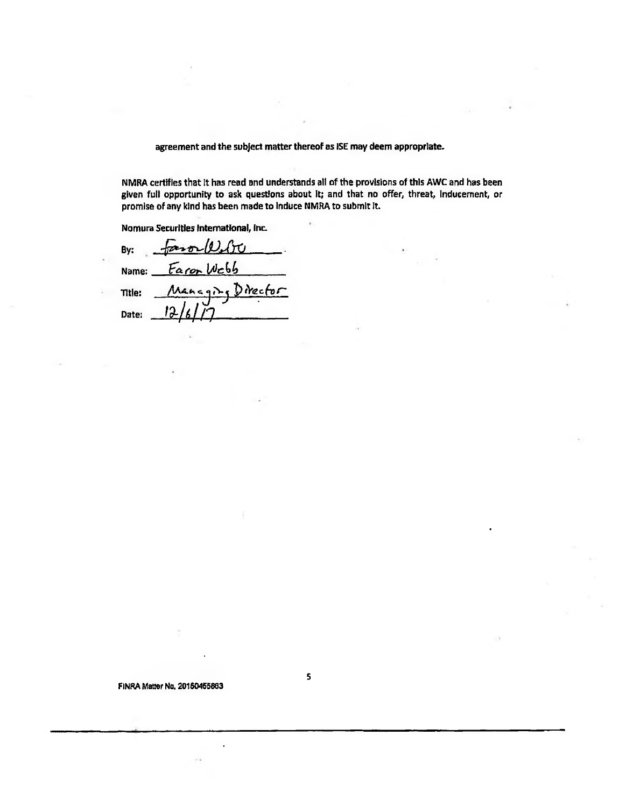**agreement and the subject matter thereof as ISE may deem appropriate.** 

**NMRA certifies that It has read and understands all of the provisions of thls AWC and has been given full opportunity to ask questions about it; and that no offer, threat, inducement, or promise of any kind has been rnade to induce NMRA to submit it.** 

k.

**5** 

**Nomura Securities International, Inc.** 

 $By: \frac{f}{\sqrt{2\pi}} \left( \frac{\partial u}{\partial x} \right)$ Name: *Faror Wcbb* Managing Director **Title:**  *<sup>4</sup>***//7 Date:** *1.1*

**FINRA Mater Nu. 20150455803**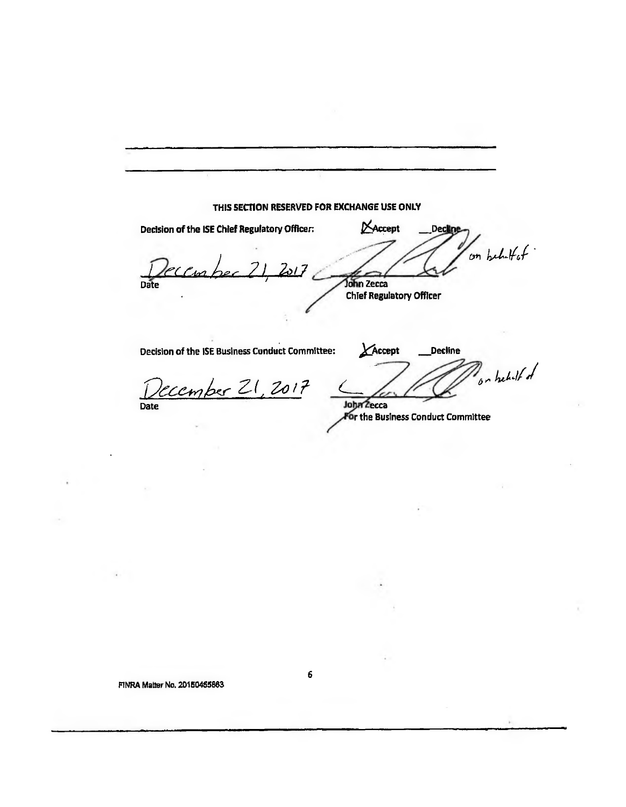**THIS SECTION RESERVED FOR EXCHANGE USE ONLY**  Decision of the ISE Chief Regulatory Officer: Maccept Decline on behalf of */ r,frei 201 7*  Date **Date** *John Zecca* **Chief Regulatory Officer** 

**Decision of the ISE Business Conduct Committee: <sup>40</sup> Accept . Decline** 

*p*c\_e\_*41,,4Kr* zr , /*<sup>7</sup>* **Date** 

on behalf of **John Zecca** 

**r the Business Conduct Committee** 

**FINRA Matter No. 2015046.580** 

**6**